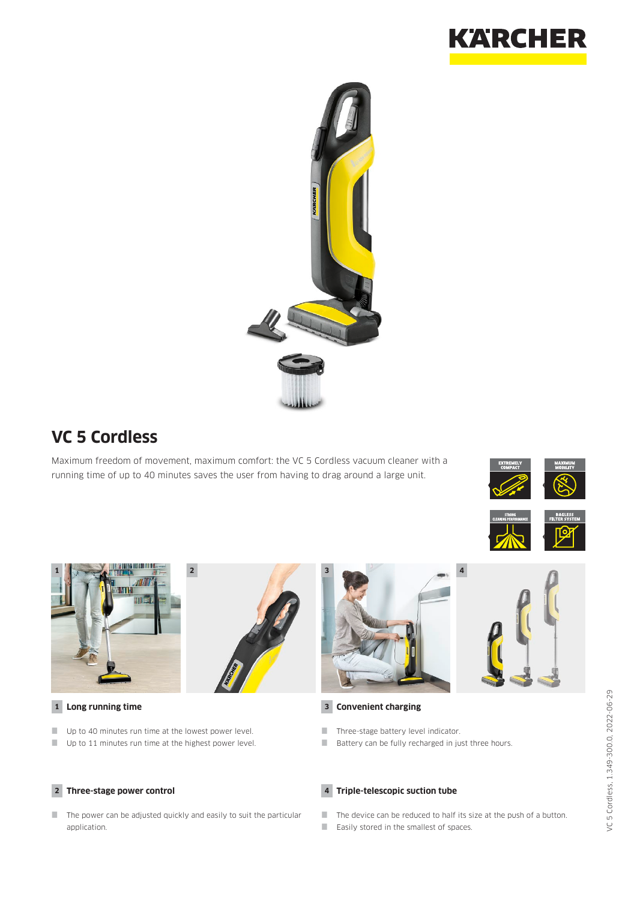



## **VC 5 Cordless**

Maximum freedom of movement, maximum comfort: the VC 5 Cordless vacuum cleaner with a running time of up to 40 minutes saves the user from having to drag around a large unit.









### **1 Long running time**

- Up to 40 minutes run time at the lowest power level.
- Up to 11 minutes run time at the highest power level.

### **2 Three-stage power control**

 $\blacksquare$  The power can be adjusted quickly and easily to suit the particular application.





#### **3 Convenient charging**

- Three-stage battery level indicator.
- Battery can be fully recharged in just three hours.

#### **4 Triple-telescopic suction tube**

- $\blacksquare$  The device can be reduced to half its size at the push of a button.
- Easily stored in the smallest of spaces.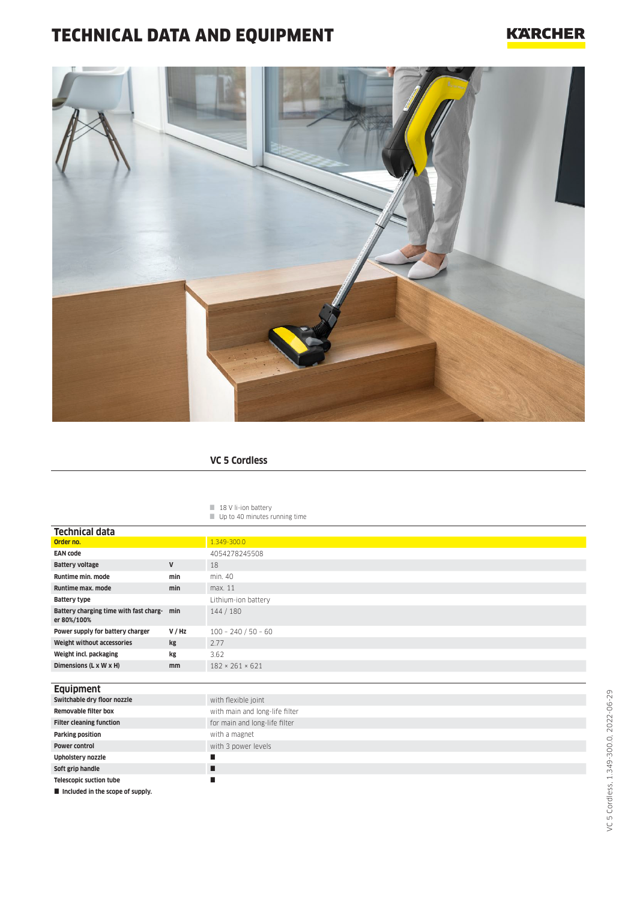# TECHNICAL DATA AND EQUIPMENT

## **KARCHER**



### **VC 5 Cordless**

18 V li-ion battery

|  |  |  |  | Up to 40 minutes running time |  |  |
|--|--|--|--|-------------------------------|--|--|
|--|--|--|--|-------------------------------|--|--|

| <b>Technical data</b>                                        |              |                                |  |  |  |  |
|--------------------------------------------------------------|--------------|--------------------------------|--|--|--|--|
| Order no.                                                    |              | 1.349-300.0                    |  |  |  |  |
| <b>EAN code</b>                                              |              | 4054278245508                  |  |  |  |  |
| <b>Battery voltage</b>                                       | $\mathsf{V}$ | 18                             |  |  |  |  |
| Runtime min. mode<br>min                                     |              | min. 40                        |  |  |  |  |
| Runtime max, mode<br>min                                     |              | max. 11                        |  |  |  |  |
| <b>Battery type</b>                                          |              | Lithium-ion battery            |  |  |  |  |
| Battery charging time with fast charg-<br>min<br>er 80%/100% |              | 144 / 180                      |  |  |  |  |
| Power supply for battery charger                             | V / Hz       | $100 - 240 / 50 - 60$          |  |  |  |  |
| Weight without accessories<br>kg                             |              | 2.77                           |  |  |  |  |
| Weight incl. packaging<br>kg                                 |              | 3.62                           |  |  |  |  |
| Dimensions (L x W x H)<br>mm                                 |              | $182 \times 261 \times 621$    |  |  |  |  |
|                                                              |              |                                |  |  |  |  |
| <b>Equipment</b>                                             |              |                                |  |  |  |  |
| Switchable dry floor nozzle                                  |              | with flexible joint            |  |  |  |  |
| <b>Removable filter box</b>                                  |              | with main and long-life filter |  |  |  |  |
| <b>Filter cleaning function</b>                              |              | for main and long-life filter  |  |  |  |  |
| <b>Parking position</b>                                      |              | with a magnet                  |  |  |  |  |
| <b>Power control</b>                                         |              | with 3 power levels            |  |  |  |  |
| Upholstery nozzle                                            |              | п                              |  |  |  |  |
| Soft grip handle                                             |              | п                              |  |  |  |  |
| <b>Telescopic suction tube</b>                               |              | п                              |  |  |  |  |

 $\blacksquare$  Included in the scope of supply.